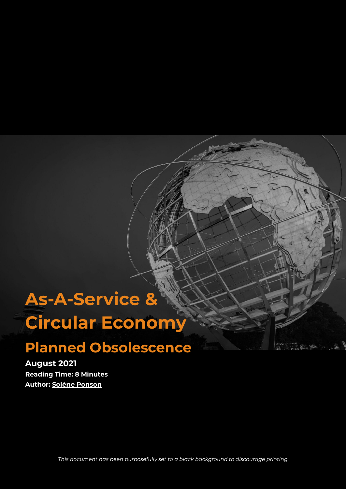# **As-A-Service & Circular Economy**

## **Planned Obsolescence**

**August 2021 Reading Time: 8 Minutes Author: Solène [Ponson](https://www.linkedin.com/in/sol%C3%A8ne-ponson/)**

*This document has been purposefully set to a black background to discourage printing.*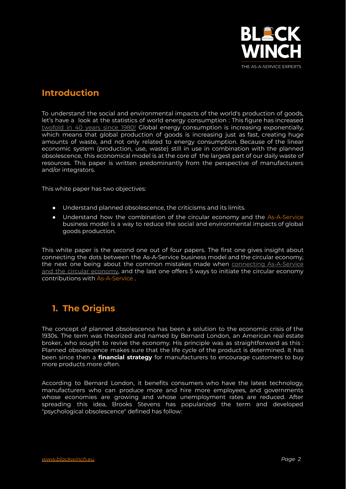

## **Introduction**

To understand the social and environmental impacts of the world's production of goods, let's have a look at the statistics of world energy consumption : This figure has increased [twofold](https://ourworldindata.org/explorers/energy?tab=chart&time=1965..2019&country=USA~GBR~CHN~OWID_WRL~IND~BRA~ZAF&Total+or+Breakdown=Total&Energy+or+Electricity=Primary+energy&Metric=Annual+consumption) in 40 years since 1980! Global energy consumption is increasing exponentially, which means that global production of goods is increasing just as fast, creating huge amounts of waste, and not only related to energy consumption. Because of the linear economic system (production, use, waste) still in use in combination with the planned obsolescence, this economical model is at the core of the largest part of our daily waste of resources. This paper is written predominantly from the perspective of manufacturers and/or integrators.

This white paper has two objectives:

- Understand planned obsolescence, the criticisms and its limits.
- Understand how the combination of the circular economy and the As-A-Service business model is a way to reduce the social and environmental impacts of global goods production.

This white paper is the second one out of four papers. The first one gives insight about connecting the dots between the As-A-Service business model and the circular economy, the next one being about the common mistakes made when connecting [As-A-Service](https://www.blackwinch.eu/wp-content/uploads/2022/03/Connecting-the-Dots.pdf) and the circular [economy,](https://www.blackwinch.eu/wp-content/uploads/2022/03/Connecting-the-Dots.pdf) and the last one offers 5 ways to initiate the circular economy contributions with As-A-Service .

## **1. The Origins**

The concept of planned obsolescence has been a solution to the economic crisis of the 1930s. The term was theorized and named by Bernard London, an American real estate broker, who sought to revive the economy. His principle was as straightforward as this : Planned obsolescence makes sure that the life cycle of the product is determined. It has been since then a **financial strategy** for manufacturers to encourage customers to buy more products more often.

According to Bernard London, it benefits consumers who have the latest technology, manufacturers who can produce more and hire more employees, and governments whose economies are growing and whose unemployment rates are reduced. After spreading this idea, Brooks Stevens has popularized the term and developed "psychological obsolescence" defined has follow: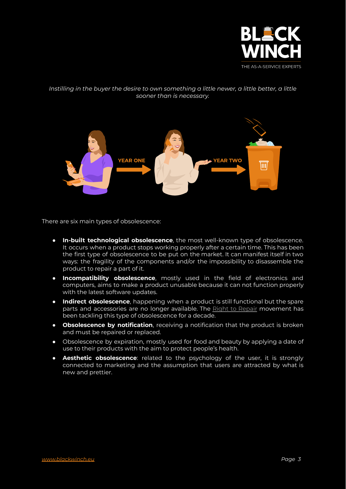

#### *Instilling in the buyer the desire to own something a little newer, a little better, a little sooner than is necessary.*



There are six main types of obsolescence:

- **In-built technological obsolescence**, the most well-known type of obsolescence. It occurs when a product stops working properly after a certain time. This has been the first type of obsolescence to be put on the market. It can manifest itself in two ways: the fragility of the components and/or the impossibility to disassemble the product to repair a part of it.
- **Incompatibility obsolescence**, mostly used in the field of electronics and computers, aims to make a product unusable because it can not function properly with the latest software updates.
- **Indirect obsolescence**, happening when a product is still functional but the spare parts and accessories are no longer available. The Right to [Repair](https://repair.eu/) movement has been tackling this type of obsolescence for a decade.
- **Obsolescence by notification**, receiving a notification that the product is broken and must be repaired or replaced.
- Obsolescence by expiration, mostly used for food and beauty by applying a date of use to their products with the aim to protect people's health.
- **Aesthetic obsolescence**: related to the psychology of the user, it is strongly connected to marketing and the assumption that users are attracted by what is new and prettier.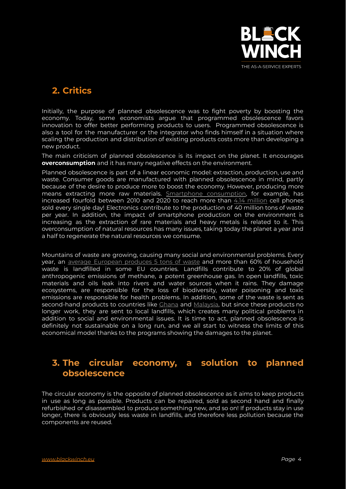

## **2. Critics**

Initially, the purpose of planned obsolescence was to fight poverty by boosting the economy. Today, some economists argue that programmed obsolescence favors innovation to offer better performing products to users. Programmed obsolescence is also a tool for the manufacturer or the integrator who finds himself in a situation where scaling the production and distribution of existing products costs more than developing a new product.

The main criticism of planned obsolescence is its impact on the planet. It encourages **overconsumption** and it has many negative effects on the environment.

Planned obsolescence is part of a linear economic model: extraction, production, use and waste. Consumer goods are manufactured with planned obsolescence in mind, partly because of the desire to produce more to boost the economy. However, producing more means extracting more raw materials. Smartphone [consumption,](https://www.statista.com/statistics/263437/global-smartphone-sales-to-end-users-since-2007/) for example, has increased fourfold between 2010 and 2020 to reach more than 4.14 [million](https://www.mexicanist.com/l/how-many-cell-phones-are-sold-per-day-in-the-world/) cell phones sold every single day! Electronics contribute to the production of 40 million tons of waste per year. In addition, the impact of smartphone production on the environment is increasing as the extraction of rare materials and heavy metals is related to it. This overconsumption of natural resources has many issues, taking today the planet a year and a half to regenerate the natural resources we consume.

Mountains of waste are growing, causing many social and environmental problems. Every year, an average [European](https://ec.europa.eu/environment/topics/waste-and-recycling_en) produces 5 tons of waste and more than 60% of household waste is landfilled in some EU countries. Landfills contribute to 20% of global anthropogenic emissions of methane, a potent greenhouse gas. In open landfills, toxic materials and oils leak into rivers and water sources when it rains. They damage ecosystems, are responsible for the loss of biodiversity, water poisoning and toxic emissions are responsible for health problems. In addition, some of the waste is sent as second-hand products to countries like [Ghana](https://www.youtube.com/watch?v=wzJI8gfpu5Y) and [Malaysia](https://www.bbc.com/news/world-48444874), but since these products no longer work, they are sent to local landfills, which creates many political problems in addition to social and environmental issues. It is time to act, planned obsolescence is definitely not sustainable on a long run, and we all start to witness the limits of this economical model thanks to the programs showing the damages to the planet.

## **3. The circular economy, a solution to planned obsolescence**

The circular economy is the opposite of planned obsolescence as it aims to keep products in use as long as possible. Products can be repaired, sold as second hand and finally refurbished or disassembled to produce something new, and so on! If products stay in use longer, there is obviously less waste in landfills, and therefore less pollution because the components are reused.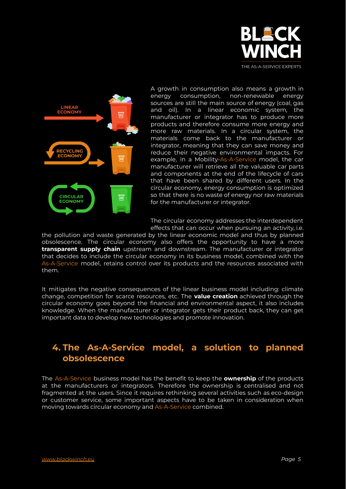



A growth in consumption also means a growth in energy consumption, non-renewable energy sources are still the main source of energy (coal, gas and oil). In a linear economic system, the manufacturer or integrator has to produce more products and therefore consume more energy and more raw materials. In a circular system, the materials come back to the manufacturer or integrator, meaning that they can save money and reduce their negative environmental impacts. For example, in a Mobility-As-A-Service model, the car manufacturer will retrieve all the valuable car parts and components at the end of the lifecycle of cars that have been shared by different users. In the circular economy, energy consumption is optimized so that there is no waste of energy nor raw materials for the manufacturer or integrator.

The circular economy addresses the interdependent effects that can occur when pursuing an activity, i.e.

the pollution and waste generated by the linear economic model and thus by planned obsolescence. The circular economy also offers the opportunity to have a more **transparent supply chain** upstream and downstream. The manufacturer or integrator that decides to include the circular economy in its business model, combined with the As-A-Service model, retains control over its products and the resources associated with them.

It mitigates the negative consequences of the linear business model including: climate change, competition for scarce resources, etc. The **value creation** achieved through the circular economy goes beyond the financial and environmental aspect, it also includes knowledge. When the manufacturer or integrator gets their product back, they can get important data to develop new technologies and promote innovation.

### **4. The As-A-Service model, a solution to planned obsolescence**

The As-A-Service business model has the benefit to keep the **ownership** of the products at the manufacturers or integrators. Therefore the ownership is centralised and not fragmented at the users. Since it requires rethinking several activities such as eco-design or customer service, some important aspects have to be taken in consideration when moving towards circular economy and As-A-Service combined.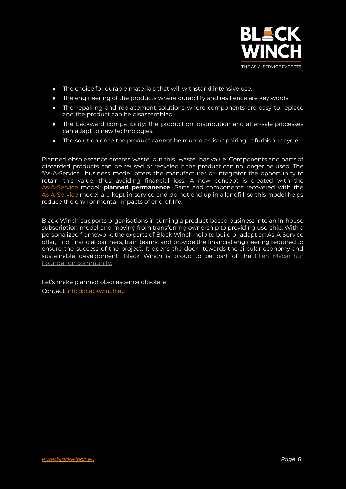

- The choice for durable materials that will withstand intensive use.
- The engineering of the products where durability and resilience are key words.
- The repairing and replacement solutions where components are easy to replace and the product can be disassembled.
- The backward compatibility: the production, distribution and after-sale processes can adapt to new technologies.
- The solution once the product cannot be reused as-is: repairing, refurbish, recycle.

Planned obsolescence creates waste, but this "waste" has value. Components and parts of discarded products can be reused or recycled if the product can no longer be used. The "As-A-Service" business model offers the manufacturer or integrator the opportunity to retain this value, thus avoiding financial loss. A new concept is created with the As-A-Service model: **planned permanence**. Parts and components recovered with the As-A-Service model are kept in service and do not end up in a landfill, so this model helps reduce the environmental impacts of end-of-life.

Black Winch supports organisations in turning a product-based business into an in-house subscription model and moving from transferring ownership to providing usership. With a personalized framework, the experts of Black Winch help to build or adapt an As-A-Service offer, find financial partners, train teams, and provide the financial engineering required to ensure the success of the project. It opens the door towards the circular economy and sustainable development. Black Winch is proud to be part of the **Ellen [Macarthur](https://ellenmacarthurfoundation.org/)** [Foundation](https://ellenmacarthurfoundation.org/) community.

Let's make planned obsolescence obsolete ! Contact info@blackwinch.eu